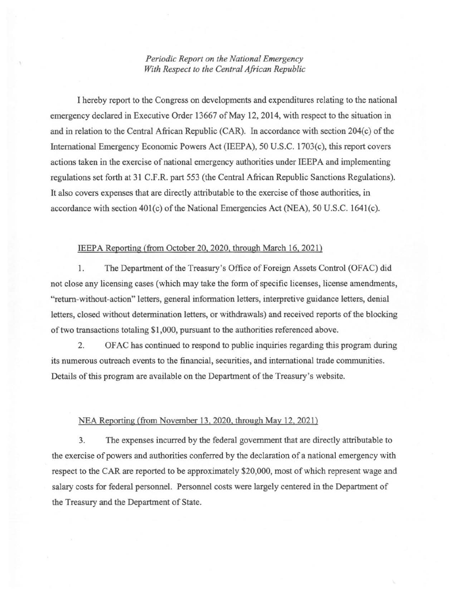## *Periodic Report on the National Emergency With Respect to the Central African Republic*

I hereby report to the Congress on developments and expenditures relating to the national emergency declared in Executive Order 13667 of May 12, 2014, with respect to the situation in and in relation to the Central African Republic (CAR). In accordance with section 204(c) of the International Emergency Economic Powers Act (IEEPA), 50 U.S.C. 1703(c), this report covers actions taken in the exercise of national emergency authorities under IEEP A and implementing regulations set forth at 31 C.F.R. part 553 (the Central African Republic Sanctions Regulations). It also covers expenses that are directly attributable to the exercise of those authorities, in accordance with section  $401(c)$  of the National Emergencies Act (NEA), 50 U.S.C. 1641(c).

## IEEPA Reporting (from October 20, 2020, through March 16, 2021)

1. The Department of the Treasury's Office of Foreign Assets Control (OFAC) did not close any licensing cases (which may take the form of specific licenses, license amendments, "return-without-action" letters, general information letters, interpretive guidance letters, denial letters, closed without determination letters, or withdrawals) and received reports of the blocking of two transactions totaling \$1,000, pursuant to the authorities referenced above.

2. OF AC has continued to respond to public inquiries regarding this program during its numerous outreach events to the fmancial, securities, and international trade communities. Details of this program are available on the Department of the Treasury's website.

## NEA Reporting (from November 13, 2020, through May 12, 2021)

3. The expenses incurred by the federal government that are directly attributable to the exercise of powers and authorities conferred by the declaration of a national emergency with respect to the CAR are reported to be approximately \$20,000, most of which represent wage and salary costs for federal personnel. Personnel costs were largely centered in the Department of the Treasury and the Department of State.